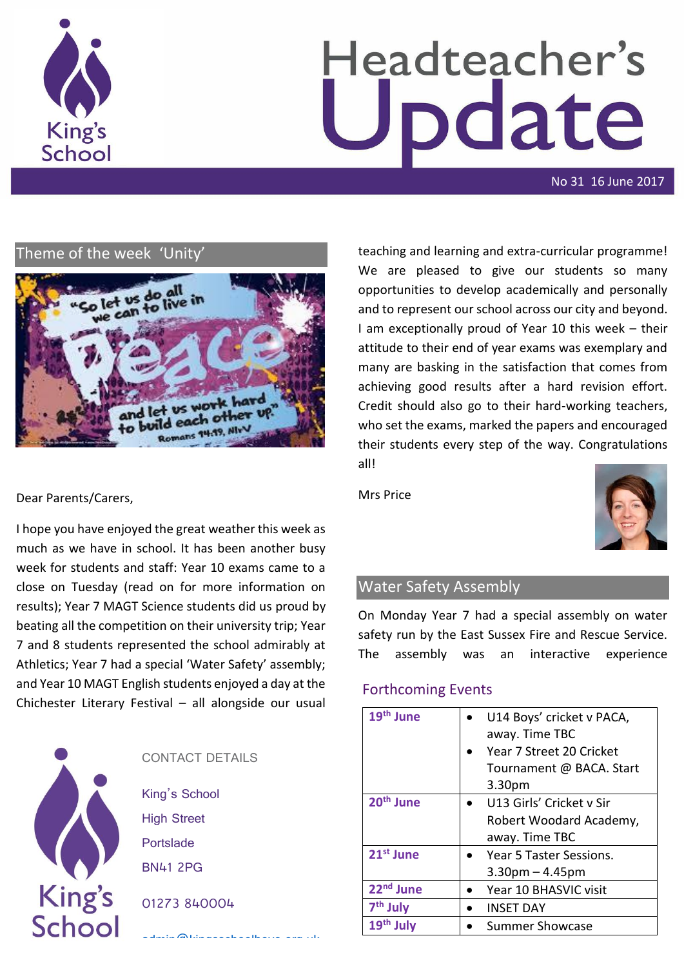

# Headteacher's odate

No 31 16 June 2017

# Theme of the week 'Unity'



teaching and learning and extra-curricular programme! We are pleased to give our students so many opportunities to develop academically and personally and to represent our school across our city and beyond. I am exceptionally proud of Year 10 this week – their attitude to their end of year exams was exemplary and many are basking in the satisfaction that comes from achieving good results after a hard revision effort. Credit should also go to their hard-working teachers, who set the exams, marked the papers and encouraged their students every step of the way. Congratulations all!

Mrs Price



# Water Safety Assembly

On Monday Year 7 had a special assembly on water safety run by the East Sussex Fire and Rescue Service. The assembly was an interactive experience

# Forthcoming Events

| 19 <sup>th</sup> June | U14 Boys' cricket v PACA, |
|-----------------------|---------------------------|
|                       | away. Time TBC            |
|                       | Year 7 Street 20 Cricket  |
|                       | Tournament @ BACA. Start  |
|                       | 3.30 <sub>pm</sub>        |
| 20 <sup>th</sup> June | U13 Girls' Cricket v Sir  |
|                       | Robert Woodard Academy,   |
|                       | away. Time TBC            |
| 21 <sup>st</sup> June | Year 5 Taster Sessions.   |
|                       | $3.30pm - 4.45pm$         |
| 22 <sup>nd</sup> June | Year 10 BHASVIC visit     |
| 7 <sup>th</sup> July  | <b>INSET DAY</b>          |
| $19th$ July           | <b>Summer Showcase</b>    |

# Dear Parents/Carers,

I hope you have enjoyed the great weather this week as much as we have in school. It has been another busy week for students and staff: Year 10 exams came to a close on Tuesday (read on for more information on results); Year 7 MAGT Science students did us proud by beating all the competition on their university trip; Year 7 and 8 students represented the school admirably at Athletics; Year 7 had a special 'Water Safety' assembly; and Year 10 MAGT English students enjoyed a day at the Chichester Literary Festival – all alongside our usual



| CONTACT DETAILS                             |
|---------------------------------------------|
| King's School                               |
| <b>High Street</b>                          |
| Portslade                                   |
| <b>BN41 2PG</b>                             |
| 01273 840004                                |
| and a state<br>$\sim -11$<br>ے میں اس اور ا |
|                                             |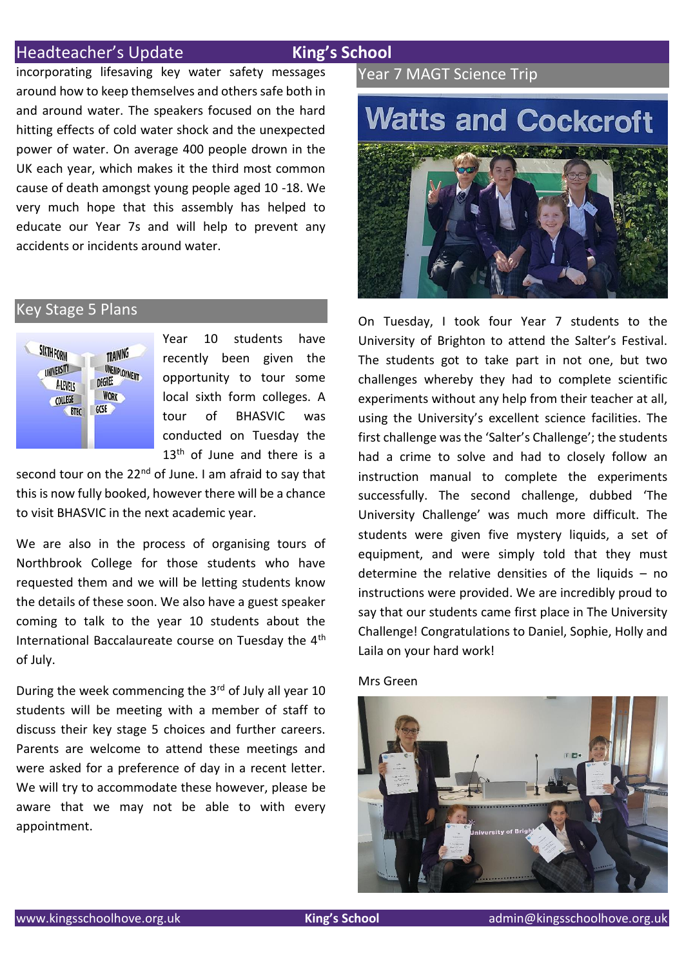# Headteacher's Update **King's School**

incorporating lifesaving key water safety messages around how to keep themselves and others safe both in and around water. The speakers focused on the hard hitting effects of cold water shock and the unexpected power of water. On average 400 people drown in the UK each year, which makes it the third most common cause of death amongst young people aged 10 -18. We very much hope that this assembly has helped to educate our Year 7s and will help to prevent any accidents or incidents around water.

# Key Stage 5 Plans



Year 10 students have recently been given the opportunity to tour some local sixth form colleges. A tour of BHASVIC was conducted on Tuesday the  $13<sup>th</sup>$  of June and there is a

second tour on the  $22<sup>nd</sup>$  of June. I am afraid to say that this is now fully booked, however there will be a chance to visit BHASVIC in the next academic year.

We are also in the process of organising tours of Northbrook College for those students who have requested them and we will be letting students know the details of these soon. We also have a guest speaker coming to talk to the year 10 students about the International Baccalaureate course on Tuesday the 4th of July.

During the week commencing the 3rd of July all year 10 students will be meeting with a member of staff to discuss their key stage 5 choices and further careers. Parents are welcome to attend these meetings and were asked for a preference of day in a recent letter. We will try to accommodate these however, please be aware that we may not be able to with every appointment.

# Year 7 MAGT Science Trip

# **Watts and Cockcroft**



On Tuesday, I took four Year 7 students to the University of Brighton to attend the Salter's Festival. The students got to take part in not one, but two challenges whereby they had to complete scientific experiments without any help from their teacher at all, using the University's excellent science facilities. The first challenge was the 'Salter's Challenge'; the students had a crime to solve and had to closely follow an instruction manual to complete the experiments successfully. The second challenge, dubbed 'The University Challenge' was much more difficult. The students were given five mystery liquids, a set of equipment, and were simply told that they must determine the relative densities of the liquids  $-$  no instructions were provided. We are incredibly proud to say that our students came first place in The University Challenge! Congratulations to Daniel, Sophie, Holly and Laila on your hard work!

## Mrs Green

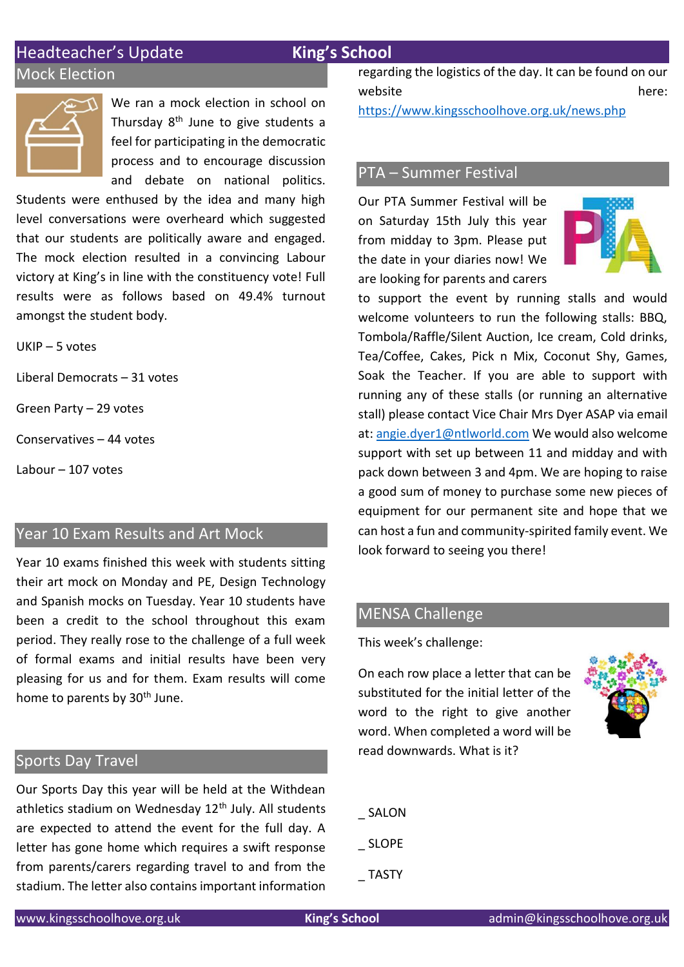# Headteacher's Update **King's School**

# Mock Election



We ran a mock election in school on Thursday 8<sup>th</sup> June to give students a feel for participating in the democratic process and to encourage discussion and debate on national politics.

Students were enthused by the idea and many high level conversations were overheard which suggested that our students are politically aware and engaged. The mock election resulted in a convincing Labour victory at King's in line with the constituency vote! Full results were as follows based on 49.4% turnout amongst the student body.

UKIP – 5 votes

Liberal Democrats – 31 votes

Green Party – 29 votes

Conservatives – 44 votes

Labour – 107 votes

# Year 10 Exam Results and Art Mock

Year 10 exams finished this week with students sitting their art mock on Monday and PE, Design Technology and Spanish mocks on Tuesday. Year 10 students have been a credit to the school throughout this exam period. They really rose to the challenge of a full week of formal exams and initial results have been very pleasing for us and for them. Exam results will come home to parents by 30<sup>th</sup> June.

# Sports Day Travel

Our Sports Day this year will be held at the Withdean athletics stadium on Wednesday  $12<sup>th</sup>$  July. All students are expected to attend the event for the full day. A letter has gone home which requires a swift response from parents/carers regarding travel to and from the stadium. The letter also contains important information regarding the logistics of the day. It can be found on our website here:

<https://www.kingsschoolhove.org.uk/news.php>

# PTA – Summer Festival

Our PTA Summer Festival will be on Saturday 15th July this year from midday to 3pm. Please put the date in your diaries now! We are looking for parents and carers



to support the event by running stalls and would welcome volunteers to run the following stalls: BBQ, Tombola/Raffle/Silent Auction, Ice cream, Cold drinks, Tea/Coffee, Cakes, Pick n Mix, Coconut Shy, Games, Soak the Teacher. If you are able to support with running any of these stalls (or running an alternative stall) please contact Vice Chair Mrs Dyer ASAP via email at: [angie.dyer1@ntlworld.com](mailto:angie.dyer1@ntlworld.com) We would also welcome support with set up between 11 and midday and with pack down between 3 and 4pm. We are hoping to raise a good sum of money to purchase some new pieces of equipment for our permanent site and hope that we can host a fun and community-spirited family event. We look forward to seeing you there!

# MENSA Challenge

This week's challenge:

On each row place a letter that can be substituted for the initial letter of the word to the right to give another word. When completed a word will be read downwards. What is it?



- \_ SALON
- \_ SLOPE
- \_ TASTY